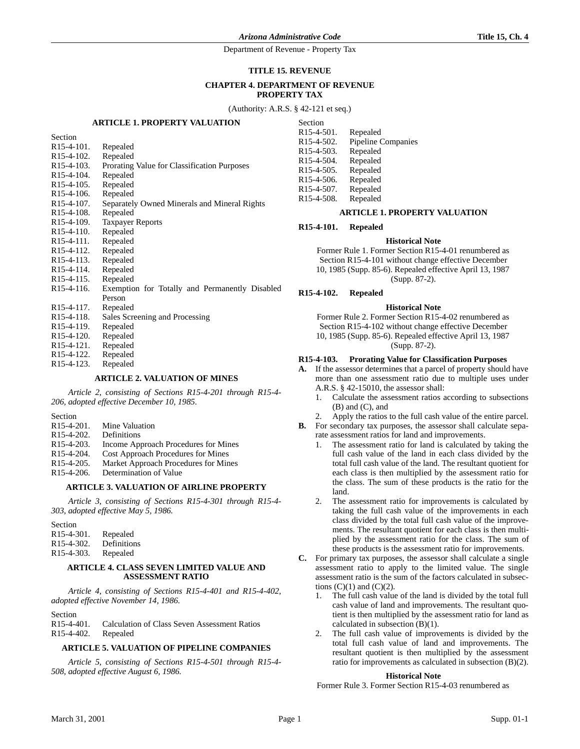#### **TITLE 15. REVENUE**

#### **CHAPTER 4. DEPARTMENT OF REVENUE PROPERTY TAX**

(Authority: A.R.S. § 42-121 et seq.)

#### **ARTICLE 1. PROPERTY VALUATION**

| Section                 |                                                |
|-------------------------|------------------------------------------------|
| $R15-4-101$ .           | Repealed                                       |
| R <sub>15</sub> -4-102. | Repealed                                       |
| R <sub>15</sub> -4-103. | Prorating Value for Classification Purposes    |
| R <sub>15</sub> -4-104. | Repealed                                       |
| $R15-4-105.$            | Repealed                                       |
| R <sub>15</sub> -4-106. | Repealed                                       |
| R <sub>15</sub> -4-107. | Separately Owned Minerals and Mineral Rights   |
| R <sub>15</sub> -4-108. | Repealed                                       |
| R <sub>15</sub> -4-109. | <b>Taxpayer Reports</b>                        |
| R <sub>15</sub> -4-110. | Repealed                                       |
| R <sub>15</sub> -4-111. | Repealed                                       |
| R <sub>15</sub> -4-112. | Repealed                                       |
| R <sub>15</sub> -4-113. | Repealed                                       |
| $R15-4-114.$            | Repealed                                       |
| R <sub>15</sub> -4-115. | Repealed                                       |
| R <sub>15</sub> -4-116. | Exemption for Totally and Permanently Disabled |
|                         | Person                                         |
| R <sub>15</sub> -4-117. | Repealed                                       |
| R <sub>15</sub> -4-118. | Sales Screening and Processing                 |
| R <sub>15</sub> -4-119. | Repealed                                       |
| R <sub>15</sub> -4-120. | Repealed                                       |
| R <sub>15</sub> -4-121. | Repealed                                       |
| R <sub>15</sub> -4-122. | Repealed                                       |
| R <sub>15</sub> -4-123. | Repealed                                       |
|                         |                                                |

### **ARTICLE 2. VALUATION OF MINES**

*Article 2, consisting of Sections R15-4-201 through R15-4- 206, adopted effective December 10, 1985.*

Section<br>R15-4-201. Mine Valuation R15-4-202. Definitions R15-4-203. Income Approach Procedures for Mines R15-4-204. Cost Approach Procedures for Mines R15-4-205. Market Approach Procedures for Mines R15-4-206. Determination of Value

### **ARTICLE 3. VALUATION OF AIRLINE PROPERTY**

*Article 3, consisting of Sections R15-4-301 through R15-4- 303, adopted effective May 5, 1986.*

| Section                 |             |
|-------------------------|-------------|
| $R15-4-301$ .           | Repealed    |
| R <sub>15</sub> -4-302. | Definitions |
| R <sub>15</sub> -4-303. | Repealed    |

#### **ARTICLE 4. CLASS SEVEN LIMITED VALUE AND ASSESSMENT RATIO**

*Article 4, consisting of Sections R15-4-401 and R15-4-402, adopted effective November 14, 1986.*

Section<br>R15-4-401. Calculation of Class Seven Assessment Ratios R15-4-402. Repealed

## **ARTICLE 5. VALUATION OF PIPELINE COMPANIES**

*Article 5, consisting of Sections R15-4-501 through R15-4- 508, adopted effective August 6, 1986.*

| Section                 |                           |
|-------------------------|---------------------------|
| R <sub>15</sub> -4-501. | Repealed                  |
| R <sub>15</sub> -4-502. | <b>Pipeline Companies</b> |
| R <sub>15-4-503</sub>   | Repealed                  |

| R <sub>15</sub> -4-503. | Repealed |
|-------------------------|----------|
| R <sub>15</sub> -4-504. | Repealed |
| $R15-4-505$ .           | Repealed |
| R <sub>15</sub> -4-506. | Repealed |
| R <sub>15</sub> -4-507. | Repealed |
| R15-4-508.              | Repealed |

#### **ARTICLE 1. PROPERTY VALUATION**

**R15-4-101. Repealed**

#### **Historical Note**

Former Rule 1. Former Section R15-4-01 renumbered as Section R15-4-101 without change effective December 10, 1985 (Supp. 85-6). Repealed effective April 13, 1987 (Supp. 87-2).

**R15-4-102. Repealed**

#### **Historical Note**

Former Rule 2. Former Section R15-4-02 renumbered as Section R15-4-102 without change effective December 10, 1985 (Supp. 85-6). Repealed effective April 13, 1987 (Supp. 87-2).

#### **R15-4-103. Prorating Value for Classification Purposes**

**A.** If the assessor determines that a parcel of property should have more than one assessment ratio due to multiple uses under A.R.S. § 42-15010, the assessor shall:

- 1. Calculate the assessment ratios according to subsections (B) and (C), and
- 2. Apply the ratios to the full cash value of the entire parcel.
- **B.** For secondary tax purposes, the assessor shall calculate separate assessment ratios for land and improvements.
	- 1. The assessment ratio for land is calculated by taking the full cash value of the land in each class divided by the total full cash value of the land. The resultant quotient for each class is then multiplied by the assessment ratio for the class. The sum of these products is the ratio for the land.
	- 2. The assessment ratio for improvements is calculated by taking the full cash value of the improvements in each class divided by the total full cash value of the improvements. The resultant quotient for each class is then multiplied by the assessment ratio for the class. The sum of these products is the assessment ratio for improvements.
- **C.** For primary tax purposes, the assessor shall calculate a single assessment ratio to apply to the limited value. The single assessment ratio is the sum of the factors calculated in subsections  $(C)(1)$  and  $(C)(2)$ .
	- 1. The full cash value of the land is divided by the total full cash value of land and improvements. The resultant quotient is then multiplied by the assessment ratio for land as calculated in subsection (B)(1).
	- The full cash value of improvements is divided by the total full cash value of land and improvements. The resultant quotient is then multiplied by the assessment ratio for improvements as calculated in subsection (B)(2).

#### **Historical Note**

Former Rule 3. Former Section R15-4-03 renumbered as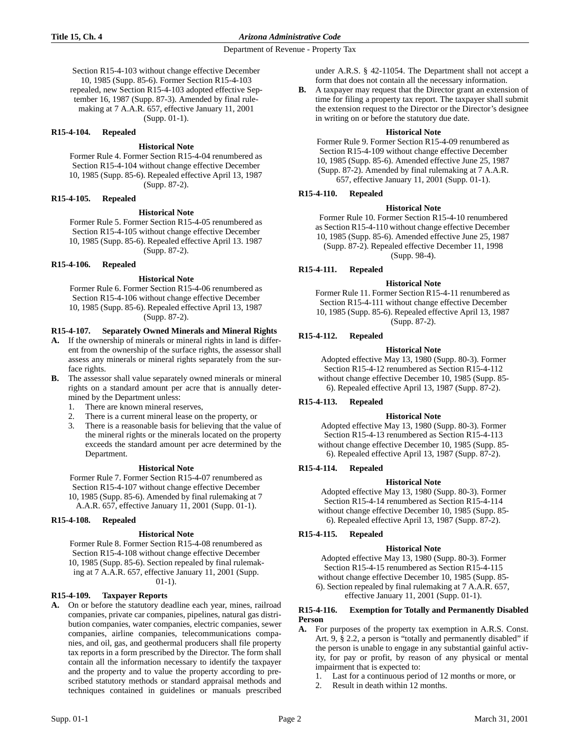### **Title 15, Ch. 4** *Arizona Administrative Code*

Department of Revenue - Property Tax

Section R15-4-103 without change effective December 10, 1985 (Supp. 85-6). Former Section R15-4-103 repealed, new Section R15-4-103 adopted effective September 16, 1987 (Supp. 87-3). Amended by final rulemaking at 7 A.A.R. 657, effective January 11, 2001 (Supp. 01-1).

### **R15-4-104. Repealed**

# **Historical Note**

Former Rule 4. Former Section R15-4-04 renumbered as Section R15-4-104 without change effective December 10, 1985 (Supp. 85-6). Repealed effective April 13, 1987 (Supp. 87-2).

### **R15-4-105. Repealed**

### **Historical Note**

Former Rule 5. Former Section R15-4-05 renumbered as Section R15-4-105 without change effective December 10, 1985 (Supp. 85-6). Repealed effective April 13. 1987 (Supp. 87-2).

## **R15-4-106. Repealed**

### **Historical Note**

Former Rule 6. Former Section R15-4-06 renumbered as Section R15-4-106 without change effective December 10, 1985 (Supp. 85-6). Repealed effective April 13, 1987 (Supp. 87-2).

## **R15-4-107. Separately Owned Minerals and Mineral Rights**

- **A.** If the ownership of minerals or mineral rights in land is different from the ownership of the surface rights, the assessor shall assess any minerals or mineral rights separately from the surface rights.
- **B.** The assessor shall value separately owned minerals or mineral rights on a standard amount per acre that is annually determined by the Department unless:
	- 1. There are known mineral reserves,
	- 2. There is a current mineral lease on the property, or
	- 3. There is a reasonable basis for believing that the value of the mineral rights or the minerals located on the property exceeds the standard amount per acre determined by the Department.

### **Historical Note**

Former Rule 7. Former Section R15-4-07 renumbered as Section R15-4-107 without change effective December 10, 1985 (Supp. 85-6). Amended by final rulemaking at 7 A.A.R. 657, effective January 11, 2001 (Supp. 01-1).

### **R15-4-108. Repealed**

### **Historical Note**

Former Rule 8. Former Section R15-4-08 renumbered as Section R15-4-108 without change effective December 10, 1985 (Supp. 85-6). Section repealed by final rulemaking at 7 A.A.R. 657, effective January 11, 2001 (Supp. 01-1).

### **R15-4-109. Taxpayer Reports**

**A.** On or before the statutory deadline each year, mines, railroad companies, private car companies, pipelines, natural gas distribution companies, water companies, electric companies, sewer companies, airline companies, telecommunications companies, and oil, gas, and geothermal producers shall file property tax reports in a form prescribed by the Director. The form shall contain all the information necessary to identify the taxpayer and the property and to value the property according to prescribed statutory methods or standard appraisal methods and techniques contained in guidelines or manuals prescribed under A.R.S. § 42-11054. The Department shall not accept a form that does not contain all the necessary information.

**B.** A taxpayer may request that the Director grant an extension of time for filing a property tax report. The taxpayer shall submit the extension request to the Director or the Director's designee in writing on or before the statutory due date.

### **Historical Note**

Former Rule 9. Former Section R15-4-09 renumbered as Section R15-4-109 without change effective December 10, 1985 (Supp. 85-6). Amended effective June 25, 1987 (Supp. 87-2). Amended by final rulemaking at 7 A.A.R. 657, effective January 11, 2001 (Supp. 01-1).

## **R15-4-110. Repealed**

## **Historical Note**

Former Rule 10. Former Section R15-4-10 renumbered as Section R15-4-110 without change effective December 10, 1985 (Supp. 85-6). Amended effective June 25, 1987 (Supp. 87-2). Repealed effective December 11, 1998 (Supp. 98-4).

## **R15-4-111. Repealed**

## **Historical Note**

Former Rule 11. Former Section R15-4-11 renumbered as Section R15-4-111 without change effective December 10, 1985 (Supp. 85-6). Repealed effective April 13, 1987 (Supp. 87-2).

## **R15-4-112. Repealed**

## **Historical Note**

Adopted effective May 13, 1980 (Supp. 80-3). Former Section R15-4-12 renumbered as Section R15-4-112 without change effective December 10, 1985 (Supp. 85- 6). Repealed effective April 13, 1987 (Supp. 87-2).

## **R15-4-113. Repealed**

### **Historical Note**

Adopted effective May 13, 1980 (Supp. 80-3). Former Section R15-4-13 renumbered as Section R15-4-113 without change effective December 10, 1985 (Supp. 85- 6). Repealed effective April 13, 1987 (Supp. 87-2).

## **R15-4-114. Repealed**

### **Historical Note**

Adopted effective May 13, 1980 (Supp. 80-3). Former Section R15-4-14 renumbered as Section R15-4-114 without change effective December 10, 1985 (Supp. 85- 6). Repealed effective April 13, 1987 (Supp. 87-2).

## **R15-4-115. Repealed**

### **Historical Note**

Adopted effective May 13, 1980 (Supp. 80-3). Former Section R15-4-15 renumbered as Section R15-4-115 without change effective December 10, 1985 (Supp. 85- 6). Section repealed by final rulemaking at 7 A.A.R. 657, effective January 11, 2001 (Supp. 01-1).

#### **R15-4-116. Exemption for Totally and Permanently Disabled Person**

- **A.** For purposes of the property tax exemption in A.R.S. Const. Art. 9, § 2.2, a person is "totally and permanently disabled" if the person is unable to engage in any substantial gainful activity, for pay or profit, by reason of any physical or mental impairment that is expected to:
	- 1. Last for a continuous period of 12 months or more, or
	- 2. Result in death within 12 months.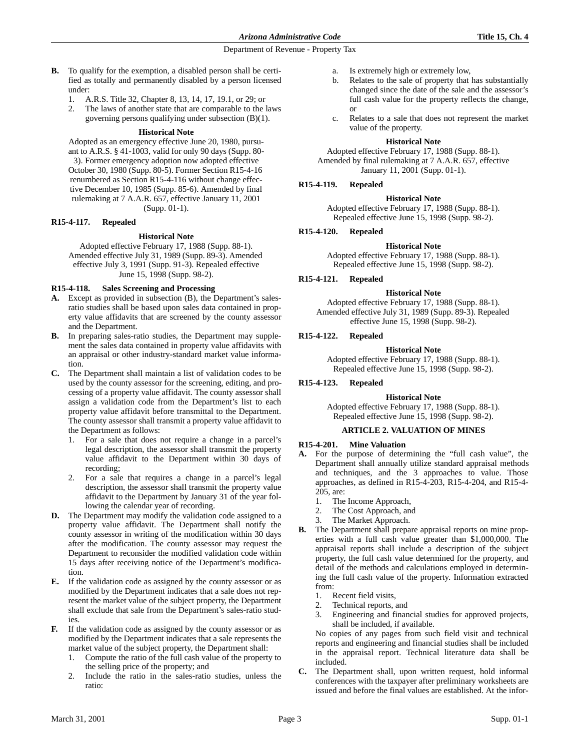- **B.** To qualify for the exemption, a disabled person shall be certified as totally and permanently disabled by a person licensed under:
	- 1. A.R.S. Title 32, Chapter 8, 13, 14, 17, 19.1, or 29; or
	- 2. The laws of another state that are comparable to the laws governing persons qualifying under subsection (B)(1).

## **Historical Note**

Adopted as an emergency effective June 20, 1980, pursuant to A.R.S. § 41-1003, valid for only 90 days (Supp. 80- 3). Former emergency adoption now adopted effective October 30, 1980 (Supp. 80-5). Former Section R15-4-16 renumbered as Section R15-4-116 without change effective December 10, 1985 (Supp. 85-6). Amended by final rulemaking at 7 A.A.R. 657, effective January 11, 2001 (Supp. 01-1).

## **R15-4-117. Repealed**

## **Historical Note**

Adopted effective February 17, 1988 (Supp. 88-1). Amended effective July 31, 1989 (Supp. 89-3). Amended effective July 3, 1991 (Supp. 91-3). Repealed effective June 15, 1998 (Supp. 98-2).

# **R15-4-118. Sales Screening and Processing**

- **A.** Except as provided in subsection (B), the Department's salesratio studies shall be based upon sales data contained in property value affidavits that are screened by the county assessor and the Department.
- **B.** In preparing sales-ratio studies, the Department may supplement the sales data contained in property value affidavits with an appraisal or other industry-standard market value information.
- **C.** The Department shall maintain a list of validation codes to be used by the county assessor for the screening, editing, and processing of a property value affidavit. The county assessor shall assign a validation code from the Department's list to each property value affidavit before transmittal to the Department. The county assessor shall transmit a property value affidavit to the Department as follows:
	- 1. For a sale that does not require a change in a parcel's legal description, the assessor shall transmit the property value affidavit to the Department within 30 days of recording;
	- 2. For a sale that requires a change in a parcel's legal description, the assessor shall transmit the property value affidavit to the Department by January 31 of the year following the calendar year of recording.
- **D.** The Department may modify the validation code assigned to a property value affidavit. The Department shall notify the county assessor in writing of the modification within 30 days after the modification. The county assessor may request the Department to reconsider the modified validation code within 15 days after receiving notice of the Department's modification.
- **E.** If the validation code as assigned by the county assessor or as modified by the Department indicates that a sale does not represent the market value of the subject property, the Department shall exclude that sale from the Department's sales-ratio studies.
- **F.** If the validation code as assigned by the county assessor or as modified by the Department indicates that a sale represents the market value of the subject property, the Department shall:
	- 1. Compute the ratio of the full cash value of the property to the selling price of the property; and
	- 2. Include the ratio in the sales-ratio studies, unless the ratio:
- a. Is extremely high or extremely low,
- b. Relates to the sale of property that has substantially changed since the date of the sale and the assessor's full cash value for the property reflects the change, or
- c. Relates to a sale that does not represent the market value of the property.

## **Historical Note**

Adopted effective February 17, 1988 (Supp. 88-1). Amended by final rulemaking at 7 A.A.R. 657, effective January 11, 2001 (Supp. 01-1).

# **R15-4-119. Repealed**

## **Historical Note**

Adopted effective February 17, 1988 (Supp. 88-1). Repealed effective June 15, 1998 (Supp. 98-2).

# **R15-4-120. Repealed**

**Historical Note** Adopted effective February 17, 1988 (Supp. 88-1).

Repealed effective June 15, 1998 (Supp. 98-2).

# **R15-4-121. Repealed**

## **Historical Note**

Adopted effective February 17, 1988 (Supp. 88-1). Amended effective July 31, 1989 (Supp. 89-3). Repealed effective June 15, 1998 (Supp. 98-2).

# **R15-4-122. Repealed**

# **Historical Note**

Adopted effective February 17, 1988 (Supp. 88-1). Repealed effective June 15, 1998 (Supp. 98-2).

# **R15-4-123. Repealed**

## **Historical Note**

Adopted effective February 17, 1988 (Supp. 88-1). Repealed effective June 15, 1998 (Supp. 98-2).

## **ARTICLE 2. VALUATION OF MINES**

## **R15-4-201. Mine Valuation**

- **A.** For the purpose of determining the "full cash value", the Department shall annually utilize standard appraisal methods and techniques, and the 3 approaches to value. Those approaches, as defined in R15-4-203, R15-4-204, and R15-4- 205, are:
	- 1. The Income Approach,
	- 2. The Cost Approach, and
	- 3. The Market Approach.
- **B.** The Department shall prepare appraisal reports on mine properties with a full cash value greater than \$1,000,000. The appraisal reports shall include a description of the subject property, the full cash value determined for the property, and detail of the methods and calculations employed in determining the full cash value of the property. Information extracted from:
	- 1. Recent field visits,
	- 2. Technical reports, and
	- 3. Engineering and financial studies for approved projects, shall be included, if available.

No copies of any pages from such field visit and technical reports and engineering and financial studies shall be included in the appraisal report. Technical literature data shall be included.

**C.** The Department shall, upon written request, hold informal conferences with the taxpayer after preliminary worksheets are issued and before the final values are established. At the infor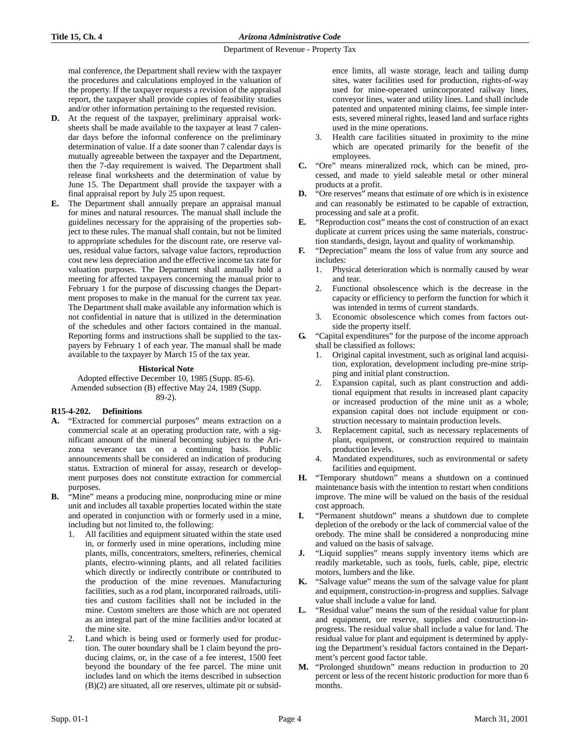mal conference, the Department shall review with the taxpayer the procedures and calculations employed in the valuation of the property. If the taxpayer requests a revision of the appraisal report, the taxpayer shall provide copies of feasibility studies and/or other information pertaining to the requested revision.

- **D.** At the request of the taxpayer, preliminary appraisal worksheets shall be made available to the taxpayer at least 7 calendar days before the informal conference on the preliminary determination of value. If a date sooner than 7 calendar days is mutually agreeable between the taxpayer and the Department, then the 7-day requirement is waived. The Department shall release final worksheets and the determination of value by June 15. The Department shall provide the taxpayer with a final appraisal report by July 25 upon request.
- **E.** The Department shall annually prepare an appraisal manual for mines and natural resources. The manual shall include the guidelines necessary for the appraising of the properties subject to these rules. The manual shall contain, but not be limited to appropriate schedules for the discount rate, ore reserve values, residual value factors, salvage value factors, reproduction cost new less depreciation and the effective income tax rate for valuation purposes. The Department shall annually hold a meeting for affected taxpayers concerning the manual prior to February 1 for the purpose of discussing changes the Department proposes to make in the manual for the current tax year. The Department shall make available any information which is not confidential in nature that is utilized in the determination of the schedules and other factors contained in the manual. Reporting forms and instructions shall be supplied to the taxpayers by February 1 of each year. The manual shall be made available to the taxpayer by March 15 of the tax year.

## **Historical Note**

Adopted effective December 10, 1985 (Supp. 85-6). Amended subsection (B) effective May 24, 1989 (Supp. 89-2).

## **R15-4-202. Definitions**

- **A.** "Extracted for commercial purposes" means extraction on a commercial scale at an operating production rate, with a significant amount of the mineral becoming subject to the Arizona severance tax on a continuing basis. Public announcements shall be considered an indication of producing status. Extraction of mineral for assay, research or development purposes does not constitute extraction for commercial purposes.
- "Mine" means a producing mine, nonproducing mine or mine unit and includes all taxable properties located within the state and operated in conjunction with or formerly used in a mine, including but not limited to, the following:
	- All facilities and equipment situated within the state used in, or formerly used in mine operations, including mine plants, mills, concentrators, smelters, refineries, chemical plants, electro-winning plants, and all related facilities which directly or indirectly contribute or contributed to the production of the mine revenues. Manufacturing facilities, such as a rod plant, incorporated railroads, utilities and custom facilities shall not be included in the mine. Custom smelters are those which are not operated as an integral part of the mine facilities and/or located at the mine site.
	- Land which is being used or formerly used for production. The outer boundary shall be 1 claim beyond the producing claims, or, in the case of a fee interest, 1500 feet beyond the boundary of the fee parcel. The mine unit includes land on which the items described in subsection (B)(2) are situated, all ore reserves, ultimate pit or subsid-

ence limits, all waste storage, leach and tailing dump sites, water facilities used for production, rights-of-way used for mine-operated unincorporated railway lines, conveyor lines, water and utility lines. Land shall include patented and unpatented mining claims, fee simple interests, severed mineral rights, leased land and surface rights used in the mine operations.

- 3. Health care facilities situated in proximity to the mine which are operated primarily for the benefit of the employees.
- **C.** "Ore" means mineralized rock, which can be mined, processed, and made to yield saleable metal or other mineral products at a profit.
- **D.** "Ore reserves" means that estimate of ore which is in existence and can reasonably be estimated to be capable of extraction, processing and sale at a profit.
- **E.** "Reproduction cost" means the cost of construction of an exact duplicate at current prices using the same materials, construction standards, design, layout and quality of workmanship.
- **F.** "Depreciation" means the loss of value from any source and includes:
	- 1. Physical deterioration which is normally caused by wear and tear.
	- 2. Functional obsolescence which is the decrease in the capacity or efficiency to perform the function for which it was intended in terms of current standards.
	- Economic obsolescence which comes from factors outside the property itself.
- **G.** "Capital expenditures" for the purpose of the income approach shall be classified as follows:
	- 1. Original capital investment, such as original land acquisition, exploration, development including pre-mine stripping and initial plant construction.
	- 2. Expansion capital, such as plant construction and additional equipment that results in increased plant capacity or increased production of the mine unit as a whole; expansion capital does not include equipment or construction necessary to maintain production levels.
	- 3. Replacement capital, such as necessary replacements of plant, equipment, or construction required to maintain production levels.
	- Mandated expenditures, such as environmental or safety facilities and equipment.
- **H.** "Temporary shutdown" means a shutdown on a continued maintenance basis with the intention to restart when conditions improve. The mine will be valued on the basis of the residual cost approach.
- **I.** "Permanent shutdown" means a shutdown due to complete depletion of the orebody or the lack of commercial value of the orebody. The mine shall be considered a nonproducing mine and valued on the basis of salvage.
- **J.** "Liquid supplies" means supply inventory items which are readily marketable, such as tools, fuels, cable, pipe, electric motors, lumbers and the like.
- **K.** "Salvage value" means the sum of the salvage value for plant and equipment, construction-in-progress and supplies. Salvage value shall include a value for land.
- **L.** "Residual value" means the sum of the residual value for plant and equipment, ore reserve, supplies and construction-inprogress. The residual value shall include a value for land. The residual value for plant and equipment is determined by applying the Department's residual factors contained in the Department's percent good factor table.
- **M.** "Prolonged shutdown" means reduction in production to 20 percent or less of the recent historic production for more than 6 months.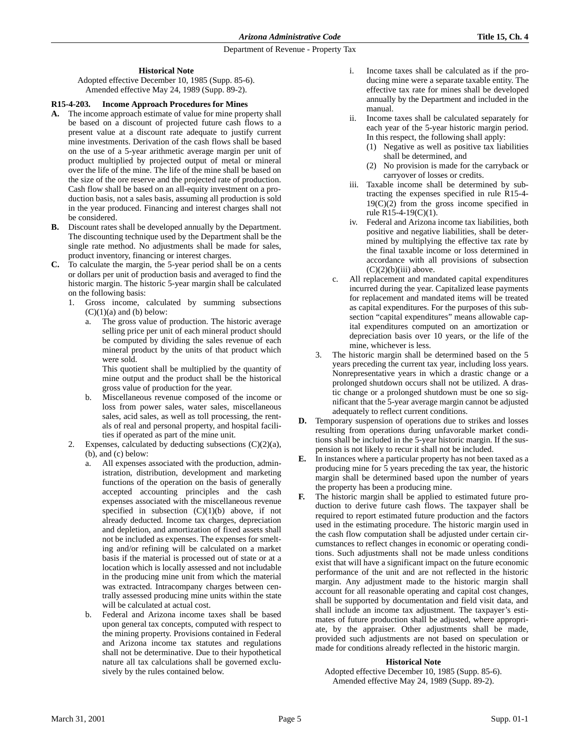## **Historical Note**

Adopted effective December 10, 1985 (Supp. 85-6). Amended effective May 24, 1989 (Supp. 89-2).

# **R15-4-203. Income Approach Procedures for Mines**

- **A.** The income approach estimate of value for mine property shall be based on a discount of projected future cash flows to a present value at a discount rate adequate to justify current mine investments. Derivation of the cash flows shall be based on the use of a 5-year arithmetic average margin per unit of product multiplied by projected output of metal or mineral over the life of the mine. The life of the mine shall be based on the size of the ore reserve and the projected rate of production. Cash flow shall be based on an all-equity investment on a production basis, not a sales basis, assuming all production is sold in the year produced. Financing and interest charges shall not be considered.
- **B.** Discount rates shall be developed annually by the Department. The discounting technique used by the Department shall be the single rate method. No adjustments shall be made for sales, product inventory, financing or interest charges.
- **C.** To calculate the margin, the 5-year period shall be on a cents or dollars per unit of production basis and averaged to find the historic margin. The historic 5-year margin shall be calculated on the following basis:
	- 1. Gross income, calculated by summing subsections  $(C)(1)(a)$  and (b) below:
		- a. The gross value of production. The historic average selling price per unit of each mineral product should be computed by dividing the sales revenue of each mineral product by the units of that product which were sold.

This quotient shall be multiplied by the quantity of mine output and the product shall be the historical gross value of production for the year.

- b. Miscellaneous revenue composed of the income or loss from power sales, water sales, miscellaneous sales, acid sales, as well as toll processing, the rentals of real and personal property, and hospital facilities if operated as part of the mine unit.
- 2. Expenses, calculated by deducting subsections  $(C)(2)(a)$ , (b), and (c) below:
	- a. All expenses associated with the production, administration, distribution, development and marketing functions of the operation on the basis of generally accepted accounting principles and the cash expenses associated with the miscellaneous revenue specified in subsection  $(C)(1)(b)$  above, if not already deducted. Income tax charges, depreciation and depletion, and amortization of fixed assets shall not be included as expenses. The expenses for smelting and/or refining will be calculated on a market basis if the material is processed out of state or at a location which is locally assessed and not includable in the producing mine unit from which the material was extracted. Intracompany charges between centrally assessed producing mine units within the state will be calculated at actual cost.
	- b. Federal and Arizona income taxes shall be based upon general tax concepts, computed with respect to the mining property. Provisions contained in Federal and Arizona income tax statutes and regulations shall not be determinative. Due to their hypothetical nature all tax calculations shall be governed exclusively by the rules contained below.
- i. Income taxes shall be calculated as if the producing mine were a separate taxable entity. The effective tax rate for mines shall be developed annually by the Department and included in the manual.
- Income taxes shall be calculated separately for each year of the 5-year historic margin period. In this respect, the following shall apply:
	- (1) Negative as well as positive tax liabilities shall be determined, and
	- (2) No provision is made for the carryback or carryover of losses or credits.
- iii. Taxable income shall be determined by subtracting the expenses specified in rule R15-4-  $19(C)(2)$  from the gross income specified in rule R15-4-19(C)(1).
- iv. Federal and Arizona income tax liabilities, both positive and negative liabilities, shall be determined by multiplying the effective tax rate by the final taxable income or loss determined in accordance with all provisions of subsection  $(C)(2)(b)(iii)$  above.
- c. All replacement and mandated capital expenditures incurred during the year. Capitalized lease payments for replacement and mandated items will be treated as capital expenditures. For the purposes of this subsection "capital expenditures" means allowable capital expenditures computed on an amortization or depreciation basis over 10 years, or the life of the mine, whichever is less.
- 3. The historic margin shall be determined based on the 5 years preceding the current tax year, including loss years. Nonrepresentative years in which a drastic change or a prolonged shutdown occurs shall not be utilized. A drastic change or a prolonged shutdown must be one so significant that the 5-year average margin cannot be adjusted adequately to reflect current conditions.
- **D.** Temporary suspension of operations due to strikes and losses resulting from operations during unfavorable market conditions shall be included in the 5-year historic margin. If the suspension is not likely to recur it shall not be included.
- **E.** In instances where a particular property has not been taxed as a producing mine for 5 years preceding the tax year, the historic margin shall be determined based upon the number of years the property has been a producing mine.
- **F.** The historic margin shall be applied to estimated future production to derive future cash flows. The taxpayer shall be required to report estimated future production and the factors used in the estimating procedure. The historic margin used in the cash flow computation shall be adjusted under certain circumstances to reflect changes in economic or operating conditions. Such adjustments shall not be made unless conditions exist that will have a significant impact on the future economic performance of the unit and are not reflected in the historic margin. Any adjustment made to the historic margin shall account for all reasonable operating and capital cost changes, shall be supported by documentation and field visit data, and shall include an income tax adjustment. The taxpayer's estimates of future production shall be adjusted, where appropriate, by the appraiser. Other adjustments shall be made, provided such adjustments are not based on speculation or made for conditions already reflected in the historic margin.

## **Historical Note**

Adopted effective December 10, 1985 (Supp. 85-6). Amended effective May 24, 1989 (Supp. 89-2).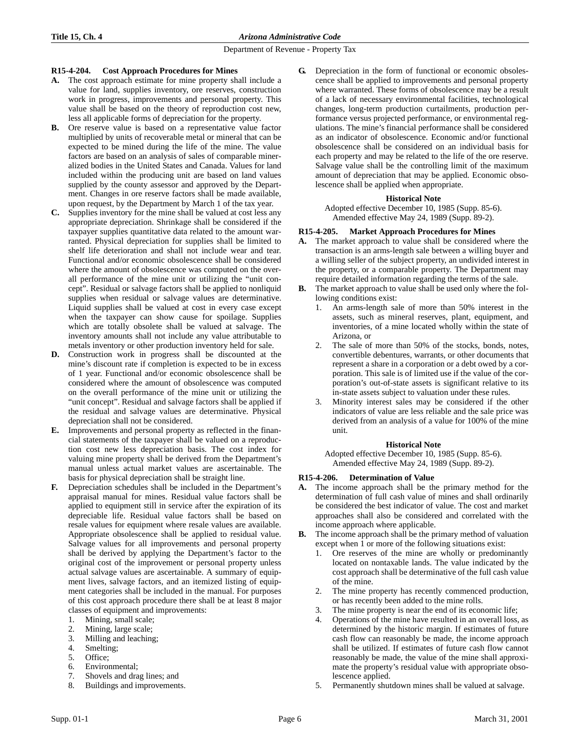## **R15-4-204. Cost Approach Procedures for Mines**

- **A.** The cost approach estimate for mine property shall include a value for land, supplies inventory, ore reserves, construction work in progress, improvements and personal property. This value shall be based on the theory of reproduction cost new, less all applicable forms of depreciation for the property.
- **B.** Ore reserve value is based on a representative value factor multiplied by units of recoverable metal or mineral that can be expected to be mined during the life of the mine. The value factors are based on an analysis of sales of comparable mineralized bodies in the United States and Canada. Values for land included within the producing unit are based on land values supplied by the county assessor and approved by the Department. Changes in ore reserve factors shall be made available, upon request, by the Department by March 1 of the tax year.
- **C.** Supplies inventory for the mine shall be valued at cost less any appropriate depreciation. Shrinkage shall be considered if the taxpayer supplies quantitative data related to the amount warranted. Physical depreciation for supplies shall be limited to shelf life deterioration and shall not include wear and tear. Functional and/or economic obsolescence shall be considered where the amount of obsolescence was computed on the overall performance of the mine unit or utilizing the "unit concept". Residual or salvage factors shall be applied to nonliquid supplies when residual or salvage values are determinative. Liquid supplies shall be valued at cost in every case except when the taxpayer can show cause for spoilage. Supplies which are totally obsolete shall be valued at salvage. The inventory amounts shall not include any value attributable to metals inventory or other production inventory held for sale.
- **D.** Construction work in progress shall be discounted at the mine's discount rate if completion is expected to be in excess of 1 year. Functional and/or economic obsolescence shall be considered where the amount of obsolescence was computed on the overall performance of the mine unit or utilizing the "unit concept". Residual and salvage factors shall be applied if the residual and salvage values are determinative. Physical depreciation shall not be considered.
- **E.** Improvements and personal property as reflected in the financial statements of the taxpayer shall be valued on a reproduction cost new less depreciation basis. The cost index for valuing mine property shall be derived from the Department's manual unless actual market values are ascertainable. The basis for physical depreciation shall be straight line.
- **F.** Depreciation schedules shall be included in the Department's appraisal manual for mines. Residual value factors shall be applied to equipment still in service after the expiration of its depreciable life. Residual value factors shall be based on resale values for equipment where resale values are available. Appropriate obsolescence shall be applied to residual value. Salvage values for all improvements and personal property shall be derived by applying the Department's factor to the original cost of the improvement or personal property unless actual salvage values are ascertainable. A summary of equipment lives, salvage factors, and an itemized listing of equipment categories shall be included in the manual. For purposes of this cost approach procedure there shall be at least 8 major classes of equipment and improvements:
	- 1. Mining, small scale;
	- 2. Mining, large scale;
	- 3. Milling and leaching;
	- 4. Smelting;
	- 5. Office;
	- 6. Environmental;
	- 7. Shovels and drag lines; and
	- 8. Buildings and improvements.

**G.** Depreciation in the form of functional or economic obsolescence shall be applied to improvements and personal property where warranted. These forms of obsolescence may be a result of a lack of necessary environmental facilities, technological changes, long-term production curtailments, production performance versus projected performance, or environmental regulations. The mine's financial performance shall be considered as an indicator of obsolescence. Economic and/or functional obsolescence shall be considered on an individual basis for each property and may be related to the life of the ore reserve. Salvage value shall be the controlling limit of the maximum amount of depreciation that may be applied. Economic obsolescence shall be applied when appropriate.

## **Historical Note**

Adopted effective December 10, 1985 (Supp. 85-6). Amended effective May 24, 1989 (Supp. 89-2).

## **R15-4-205. Market Approach Procedures for Mines**

- **A.** The market approach to value shall be considered where the transaction is an arms-length sale between a willing buyer and a willing seller of the subject property, an undivided interest in the property, or a comparable property. The Department may require detailed information regarding the terms of the sale.
- **B.** The market approach to value shall be used only where the following conditions exist:
	- 1. An arms-length sale of more than 50% interest in the assets, such as mineral reserves, plant, equipment, and inventories, of a mine located wholly within the state of Arizona, or
	- 2. The sale of more than 50% of the stocks, bonds, notes, convertible debentures, warrants, or other documents that represent a share in a corporation or a debt owed by a corporation. This sale is of limited use if the value of the corporation's out-of-state assets is significant relative to its in-state assets subject to valuation under these rules.
	- 3. Minority interest sales may be considered if the other indicators of value are less reliable and the sale price was derived from an analysis of a value for 100% of the mine unit.

## **Historical Note**

Adopted effective December 10, 1985 (Supp. 85-6). Amended effective May 24, 1989 (Supp. 89-2).

## **R15-4-206. Determination of Value**

- **A.** The income approach shall be the primary method for the determination of full cash value of mines and shall ordinarily be considered the best indicator of value. The cost and market approaches shall also be considered and correlated with the income approach where applicable.
- **B.** The income approach shall be the primary method of valuation except when 1 or more of the following situations exist:
	- 1. Ore reserves of the mine are wholly or predominantly located on nontaxable lands. The value indicated by the cost approach shall be determinative of the full cash value of the mine.
	- 2. The mine property has recently commenced production, or has recently been added to the mine rolls.
	- 3. The mine property is near the end of its economic life;
	- 4. Operations of the mine have resulted in an overall loss, as determined by the historic margin. If estimates of future cash flow can reasonably be made, the income approach shall be utilized. If estimates of future cash flow cannot reasonably be made, the value of the mine shall approximate the property's residual value with appropriate obsolescence applied.
	- Permanently shutdown mines shall be valued at salvage.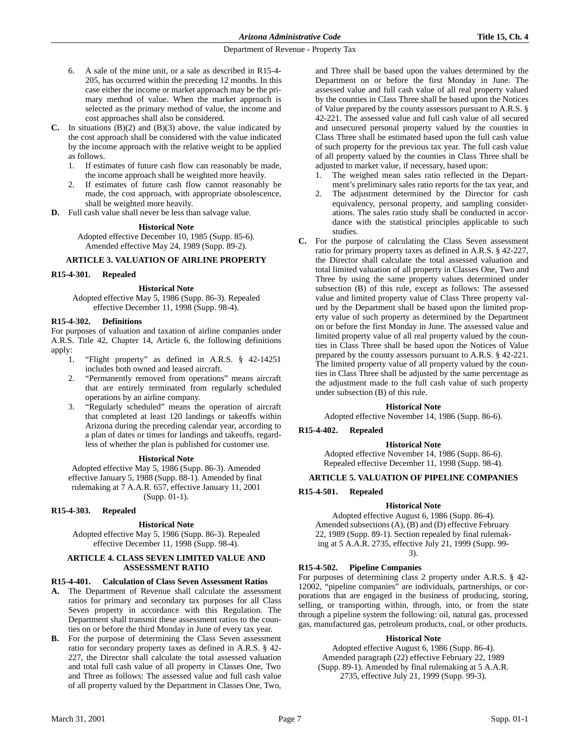- 6. A sale of the mine unit, or a sale as described in R15-4- 205, has occurred within the preceding 12 months. In this case either the income or market approach may be the primary method of value. When the market approach is selected as the primary method of value, the income and cost approaches shall also be considered.
- **C.** In situations (B)(2) and (B)(3) above, the value indicated by the cost approach shall be considered with the value indicated by the income approach with the relative weight to be applied as follows.
	- 1. If estimates of future cash flow can reasonably be made, the income approach shall be weighted more heavily.
	- 2. If estimates of future cash flow cannot reasonably be made, the cost approach, with appropriate obsolescence, shall be weighted more heavily.
- **D.** Full cash value shall never be less than salvage value.

#### **Historical Note**

Adopted effective December 10, 1985 (Supp. 85-6). Amended effective May 24, 1989 (Supp. 89-2).

### **ARTICLE 3. VALUATION OF AIRLINE PROPERTY**

#### **R15-4-301. Repealed**

#### **Historical Note**

Adopted effective May 5, 1986 (Supp. 86-3). Repealed effective December 11, 1998 (Supp. 98-4).

#### **R15-4-302. Definitions**

For purposes of valuation and taxation of airline companies under A.R.S. Title 42, Chapter 14, Article 6, the following definitions apply:

- 1. "Flight property" as defined in A.R.S. § 42-14251 includes both owned and leased aircraft.
- 2. "Permanently removed from operations" means aircraft that are entirely terminated from regularly scheduled operations by an airline company.
- 3. "Regularly scheduled" means the operation of aircraft that completed at least 120 landings or takeoffs within Arizona during the preceding calendar year, according to a plan of dates or times for landings and takeoffs, regardless of whether the plan is published for customer use.

### **Historical Note**

Adopted effective May 5, 1986 (Supp. 86-3). Amended effective January 5, 1988 (Supp. 88-1). Amended by final rulemaking at 7 A.A.R. 657, effective January 11, 2001 (Supp. 01-1).

#### **R15-4-303. Repealed**

### **Historical Note**

Adopted effective May 5, 1986 (Supp. 86-3). Repealed effective December 11, 1998 (Supp. 98-4).

### **ARTICLE 4. CLASS SEVEN LIMITED VALUE AND ASSESSMENT RATIO**

### **R15-4-401. Calculation of Class Seven Assessment Ratios**

- **A.** The Department of Revenue shall calculate the assessment ratios for primary and secondary tax purposes for all Class Seven property in accordance with this Regulation. The Department shall transmit these assessment ratios to the counties on or before the third Monday in June of every tax year.
- **B.** For the purpose of determining the Class Seven assessment ratio for secondary property taxes as defined in A.R.S. § 42- 227, the Director shall calculate the total assessed valuation and total full cash value of all property in Classes One, Two and Three as follows: The assessed value and full cash value of all property valued by the Department in Classes One, Two,

and Three shall be based upon the values determined by the Department on or before the first Monday in June. The assessed value and full cash value of all real property valued by the counties in Class Three shall be based upon the Notices of Value prepared by the county assessors pursuant to A.R.S. § 42-221. The assessed value and full cash value of all secured and unsecured personal property valued by the counties in Class Three shall be estimated based upon the full cash value of such property for the previous tax year. The full cash value of all property valued by the counties in Class Three shall be adjusted to market value, if necessary, based upon:

- 1. The weighed mean sales ratio reflected in the Department's preliminary sales ratio reports for the tax year, and
- 2. The adjustment determined by the Director for cash equivalency, personal property, and sampling considerations. The sales ratio study shall be conducted in accordance with the statistical principles applicable to such studies.
- **C.** For the purpose of calculating the Class Seven assessment ratio for primary property taxes as defined in A.R.S. § 42-227, the Director shall calculate the total assessed valuation and total limited valuation of all property in Classes One, Two and Three by using the same property values determined under subsection (B) of this rule, except as follows: The assessed value and limited property value of Class Three property valued by the Department shall be based upon the limited property value of such property as determined by the Department on or before the first Monday in June. The assessed value and limited property value of all real property valued by the counties in Class Three shall be based upon the Notices of Value prepared by the county assessors pursuant to A.R.S. § 42-221. The limited property value of all property valued by the counties in Class Three shall be adjusted by the same percentage as the adjustment made to the full cash value of such property under subsection (B) of this rule.

## **Historical Note**

Adopted effective November 14, 1986 (Supp. 86-6).

# **R15-4-402. Repealed**

#### **Historical Note**

Adopted effective November 14, 1986 (Supp. 86-6). Repealed effective December 11, 1998 (Supp. 98-4).

#### **ARTICLE 5. VALUATION OF PIPELINE COMPANIES**

#### **R15-4-501. Repealed**

### **Historical Note**

Adopted effective August 6, 1986 (Supp. 86-4). Amended subsections (A), (B) and (D) effective February 22, 1989 (Supp. 89-1). Section repealed by final rulemaking at 5 A.A.R. 2735, effective July 21, 1999 (Supp. 99- 3).

### **R15-4-502. Pipeline Companies**

For purposes of determining class 2 property under A.R.S. § 42- 12002, "pipeline companies" are individuals, partnerships, or corporations that are engaged in the business of producing, storing, selling, or transporting within, through, into, or from the state through a pipeline system the following: oil, natural gas, processed gas, manufactured gas, petroleum products, coal, or other products.

#### **Historical Note**

Adopted effective August 6, 1986 (Supp. 86-4). Amended paragraph (22) effective February 22, 1989 (Supp. 89-1). Amended by final rulemaking at 5 A.A.R. 2735, effective July 21, 1999 (Supp. 99-3).